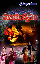

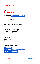మాయాద్విపం

**by Sreesudhamayi** 

**Website : www.manrobo.com**

**Price : Rs 60/-** 

**First Edition : March 2019** 

**Cover Page Concept MANROBO CREATIONS**

**Cover Page SRIKANTH**

**Copies available at**

**kinige.com manrobocrations@gmail.com www.manrobo.com**



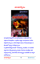



అది <mark>సైమిశారణ్యంలోని ఒక అటవీ ప్రాంతం. ఆ ప్రాంతంలో</mark> ఒక <mark>ఎత్తయిన కొండప్రదేశం. ఆ ప్రదేశం చుట్టూ ఫలవృ</mark>క్షాదులు అనేకం విస్తరించి ఉన్నాయి. అనేక రకాలైన ప<u>కు</u>లు సాధుజంతువులు ఆ ప్రాంతంలో స్వేచ్ఛగా జీవిస్తున్నాయి. ఆ ప్రదేశానికి కొద్ది దూరంలో పారుతున్న సెలయేరు. ఆ సెలయేటి వద్ద దాహం తీర్చుకుంటున్న జింకలు ఏనుగులు కుందేళ్<mark>లు</mark> ఇతర వన్యమ్మగాలన్నీ ఎవరి కోసమే <mark>వేచి ఉ</mark>న్నట్టు సెలయేటికి ఒక పక్కగా ఆగిపోయాయి.

<mark>మాయాద</mark>ీ్వపం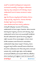అంతలో ఆ సెలయేటి కి ఆవలి వైపునుండి సంధ్యావందనం ముగించుకుని బయటకొచ్చిన మహాసిద్ధుడు మణికందరుడు అక్కడున్న అన్ని జంతువులను చూసి చిరునవ్వు నవ్వాడు. మణికందరుడిని చూడగానే జింకలు చెంగుచెంగున గంతులు వేశాయి.

చెట్టు మీద కోయిలలు కమ్మ టిస్వరాలతో కూజితాలు పాడాయి. నెమళ్లు పురి విప్పి నాట్యమాడాయి. ఏనుగులు తొండాలెత్తి ఘీంకరిస్తూ సిద్ధుడి ముందు మోకరిల్లాయి.

పక్షులు కిలకిలరావాలతో తమ మోదాన్ని ప్రకటించాయి.

వాటన్ని టినీ ఆశీర్వదిస్తూ ముందుకు సాగాలనుకున్న మణికందరుడికి ఒక ఏనుగు అడ్డంగా నిలబడింది. తనను ముందుకు కదలనివ్వకుండా అడ్డుకున్న ఏనుగును చూసి చిరునవ్వు నవ్విన మణికందరుడిని చూసిన ఏనుగు తన ముందుకాళ్లతో మోకరిల్లి తన తొండంతో మణికందరుడిని ఎత్తి తన మీద కూర్చుండబెట్టుకుని మెల్లిగా ముందుకు సాగడం మొదలుపెట్టింది. ఆ ఏనుగు పెనుక మిగిలిన జంతుజాలం అంతా కోలాహలంగా బయలుదేరింది. మణికందరుడిని తనపై మోస్తూ మంద్రంగా సాగుతున్న ఏనుగు ఉన్నట్టుండి అక్కడే ఆగివోయి భయంతో ఘీంకారం చేయసాగింది. అది చూసిన మణికందరుడు చాలా రోజుల తర్వాత తాను గుహనుండి బయటకు వచ్చి సెలయేటి వద్దకు పెళ్లడం మహామాంత్రికుడైన మాయాక్షుడికి తెలిసిపోయిందని అందుకే గాలితో పాటు కలిసిపోయి తనను పెంబడిస్తున్నా డని అర్ధమైంది. పెంటనే తన కమండలంలోని

<mark>మాయాద</mark>ీ్వపం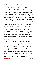నీటిని చేతిలోకి తీసుకుని అభిమంత్రించి తన పెనక నడుస్తున్న మూగజీవాలైన వన్యప్రాణుల మీద చల్లాడు. పెంటనే ఆ జంతుజాలమంతా మణికందరుడి చుట్టూ చేరి కవచంలా ఏర్పడ్డాయి. అంతలో అక్కడికి గా<mark>లి</mark> రూపంలో చేరుకున్న మాయా<u>కు</u>ుడు గాలిని బలంగా ఊదసాగాడు. ఆ గాలుల ధాటికి అక్కడున్న చిన్న చిన్న వృక్షాలు సేలకూరివోసాగాయి. ఆ ప్రదేశమంతా మాయాక్షుడు తన నోటితో ఊదుతున్న గాలుల ధాటికి కంపించడం మొదలైంది. గాలుల .<br>తీవ్రత మరింతగా పెరిగి ఈదురుగాలులు మొదలయ్యాయి. వాటి ధాటికి పెద్ద వృక్షాలు కంపించడం మొదలుపెట్టాయి. ఆ ప్రదేశమంతా కొట్టుకువోతున్న వృక్షశాఖలతో కొమ్మలతో నిండి ఉంది. కొండరాళ్లు బండరాళ్లు శిలలు స్థానభ్రంశం చెందడం మొదలైంది. ఫలవృక్షాలు సేలరాలివోయాయి. ఆహ్లాదకరమైన ప్రకృతి విషాదకరమైన వికృతిగా మారసాగింది. భీకరమైన సుడిగాలులు జడిగాలుల ధాటికి మహామహావృక్షాలు గాలిలో కొట్టుకువోసాగాయి. అంత భీకరమైన ప్రకృతి విలయంలో....

మహాసిద్దుడు మణికందరుడు కమండలంలోని నీటిని చల్లిన జంతుజాలం మణికందరుడి చుట్టూ కవచంలా చెక్కుచెదరకుండా అలాగే నిలబడి ఉన్నాయి. ఆ సుడిగాలులు జడిగాలులు వాటిని ఇసుమంతైనా కదల్చలేకవోయాయి. వాటి మధ్యలో కనులు మూసుకుని తపస్సమాధిలో మునిగి ఉన్న మణికందరుడు కళ్ల<mark>ు</mark> తెరిచాడు. కమండలం చేతిలోకి తీసుకుని తన అరచేతి గుండా సప్తవర్ణాల రూపంలో ఉన్న శక్తులను కమండలంలోకి

<mark>మాయాద్వీపం</mark>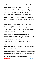ధారవోయసాగాడు. అన్ని శక్తులను కమండలంలోకి ధారవోయగానే కమండలం ఒక్కసారిగా పుత్తడివర్లంలోకి మారిపోయింది. .. మణికందరుడు కమండలంలోకి తన శక్తులను ధారవోస్తున్న సమయంలో గాలి రూపంలో ఉన్న మాయాక్షుడు ఎలాగైనా కమండలాన్ని తాకాలని విశ్వప్రయత్నం చేయసాగాడు. కానీ మణికందరుడి చుట్టూ గాలి కూడా చొరబడలేనంత కట్టుదిట్టమైన కవచంలా జంతుజాలం ఉంది. అది చూసిన మాయాక్షుడు ఆగ్రహంతో ఊగివోవడం మొదలుపెట్టాడు.

కమండలం సప్తవర్ణాల దివ్యశక్తులతో పుత్తడివర్లంలోకి మారగాసే మణికందరుడు పైకి లేచాడు. జంతువులన్నీ పక్కకు తప్పుకున్నాయి. అందుకోసమే ఎదురు చూస్తున్న మాయాక్షుడు గా<mark>లి రూపాన్ని వదిలి తన అసలు రూపంలోకి మారివోయాడు</mark>. మణికందరుడిని పట్టి బంధించాలని ముందుకు వచ్చాడు. మాయాక్షుడి కదలికలను గమనిస్తున్న మణికందరుడు తన చేతిలోని దివ్వశక్తుల కమండలాన్ని అల్లంతదూరానికి గిరవాటు పేశాడు. అది చూసిన మాయాక్షుడు ఆ కమండలం కోసం ఆ ప్రదేశానికి పెళ్లసాగాడు.

కమండలం పడిన ప్రదేశం ఒక కందకంలా మారివోయి ఆ కందకంలో కమండలం ఉండిపోయింది.

కమండలం పడిన ప్రదేశంలో పెద్ద కందకం ఏర్పడగాసే ఆగ్రహాపేశాలతో ఊగివోతూ మాయాక్షుడు మణికంధరుడిని బందించాలని ముందుకు దూకాడు . అది చూసిన మణికంధరుడు మెరుపువేగంతో కదిలి తన

| మాయాదీ్ఘపం |  | శ్రీసుధామయి |
|------------|--|-------------|
|------------|--|-------------|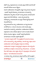చేతిలో ఉన్న రుద్రాక్షమాలను ఆ కందకం పైపు విసిరేసి అంతే పేగంతో దండంతో సేలమీద బలంగా కొట్టాడు .

పెంటనే మణికంధరుడు నిలబడ్డచోట చుట్టూ అగ్నివలయం ఏర్పడింద<mark>ి</mark> . అంతలో అక్కడికి చేరుకున్న మాయాక్షుడు ఆ వలయాన్న<mark>ి</mark> సమీపించాడు రెప్పపాటు కాలంలో ఆ అగ్ని వలయం మాయాక్షుడిని అల్లంత దూరానికి విసిరేసింది . మరల అగ్నివలయ<mark>ా</mark>న్ని సమీపిస్తున్న మాయాక్షుడికి ఒక దృశ్యం గోచరించి స్థాణుపై అలాగే నిలబడిపోయాడు .

అగ్ని వలయంలోపల ఉన్న మణికందరుడు ఒక పెద్ద <mark>వెలుగులా</mark> మారివోయాడు. ఆ పెలుగు కమండలం పడిన కందకం వైపు పయనించి ఆ కందకాన్ని ఆవరించింది. మణికందరుడు విసిరేసిన రుద్రాక్షమాల నూట ఎనిమిది చక్రాలుగా మారి ఆ కందకం మీదుగా తిరగడం మొదలు పెట్టాయి. అంతలో అక్కడికి ప్ర<mark>వేశించ</mark>ిన మాయాక్షుడు ఆ కందకం దగ్గరికి పెళ్లేంతలో ...

" మాయాక్షా అక్కడే ఆగివో .నీ మంత్రశక్తి కానీ ఎలాంటి మాయలు కానీ ఆ కమండలాన్ని దక్కించుకోలేవు. ఎలాంటి దుష్ట శక్తులు కూడా మణికందరుడి మహిమాన్వితమైన శక్తులను తాకలేవు.

మణికందరుడి గురువైన గందర్వసిద్ధుడి వరప్రభావం చేత జన్మించిన మహావీరుడు మాత్రమే ఆ కమండలాన్ని సాధించగలడు . ఆ కందకం మీద తిరిగే చక్రాలు తమ వద్దకు వచ్చిన ఏ వస్తువునైనా సరే ఖండిం<mark>చ</mark>ి పేస్తాయి " అని వినిపించింది అసురవాణి

ఆ మాటలు విన్న మాయాక్షుడు అక్కడే ఆగివోయి ఏదో మంత్రించి

| మాయాదీ్ఘపం | 10 <sup>°</sup> | శ్రీసుధామయి |
|------------|-----------------|-------------|
|------------|-----------------|-------------|